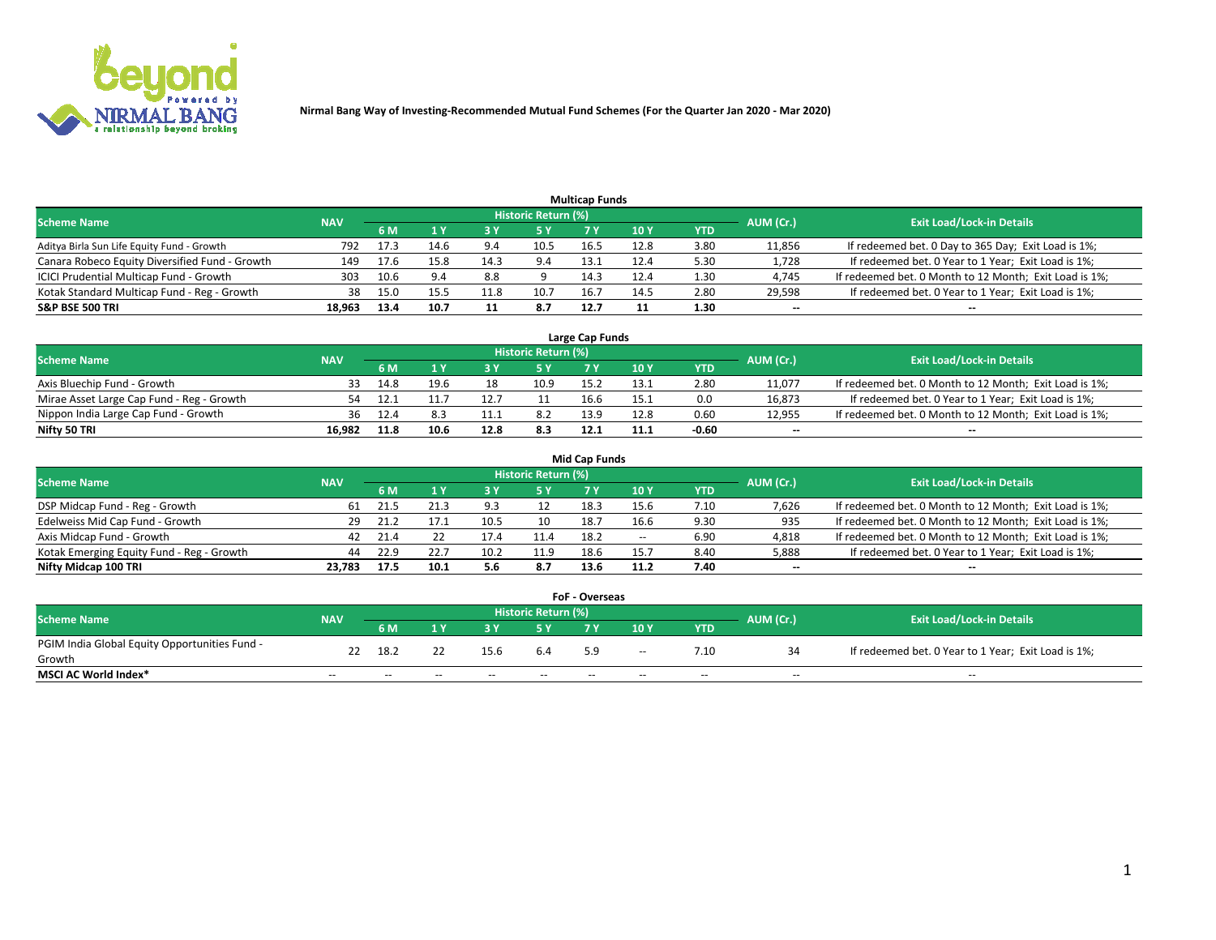

| <b>Multicap Funds</b>                          |            |      |      |      |                     |      |                 |      |           |                                                        |  |  |  |  |
|------------------------------------------------|------------|------|------|------|---------------------|------|-----------------|------|-----------|--------------------------------------------------------|--|--|--|--|
| <b>Scheme Name</b>                             | <b>NAV</b> |      |      |      | Historic Return (%) |      |                 |      | AUM (Cr.) | <b>Exit Load/Lock-in Details</b>                       |  |  |  |  |
|                                                |            | 6 M  |      |      | 5 Y                 |      | 10 <sub>Y</sub> | YTD  |           |                                                        |  |  |  |  |
| Aditya Birla Sun Life Equity Fund - Growth     | 792        | 17.3 | 14.6 | 9.4  | 10.5                | 16.5 | 12.8            | 3.80 | 11,856    | If redeemed bet. 0 Day to 365 Day; Exit Load is 1%;    |  |  |  |  |
| Canara Robeco Equity Diversified Fund - Growth | 149        | 17.6 | 15.8 | 14.3 | 9.4                 | 13.1 | 12.4            | 5.30 | 1,728     | If redeemed bet. 0 Year to 1 Year; Exit Load is 1%;    |  |  |  |  |
| ICICI Prudential Multicap Fund - Growth        | 303        | 10.6 | 9.4  | 8.8  |                     | 14.3 | 12.4            | 1.30 | 4,745     | If redeemed bet. 0 Month to 12 Month; Exit Load is 1%; |  |  |  |  |
| Kotak Standard Multicap Fund - Reg - Growth    | 38         | 15.0 | 15.5 | 11.8 | 10.7                | 16.  | 14.5            | 2.80 | 29,598    | If redeemed bet. 0 Year to 1 Year; Exit Load is 1%;    |  |  |  |  |
| <b>S&amp;P BSE 500 TRI</b>                     | 18.963     | 13.4 | 10.7 |      | 8.7                 | 12.7 |                 | 1.30 | $- -$     | $-$                                                    |  |  |  |  |

| Large Cap Funds                           |            |      |      |      |                            |      |      |         |           |                                                        |  |  |  |  |
|-------------------------------------------|------------|------|------|------|----------------------------|------|------|---------|-----------|--------------------------------------------------------|--|--|--|--|
| Scheme Name                               | <b>NAV</b> |      |      |      | <b>Historic Return (%)</b> |      |      |         | AUM (Cr.) | <b>Exit Load/Lock-in Details</b>                       |  |  |  |  |
|                                           |            | 6 M  |      |      | 5 Y                        |      | 10Y  | YTD     |           |                                                        |  |  |  |  |
| Axis Bluechip Fund - Growth               |            | 14.8 | 19.6 | 18   | 10.9                       | 15.2 | 13.1 | 2.80    | 11,077    | If redeemed bet. 0 Month to 12 Month; Exit Load is 1%; |  |  |  |  |
| Mirae Asset Large Cap Fund - Reg - Growth | 54         |      |      |      |                            | 16.6 | 15.1 | 0.0     | 16,873    | If redeemed bet. 0 Year to 1 Year; Exit Load is 1%;    |  |  |  |  |
| Nippon India Large Cap Fund - Growth      | 36         |      |      | .    | 8.2                        | 13.9 | 12.8 | 0.60    | 12,955    | If redeemed bet. 0 Month to 12 Month; Exit Load is 1%; |  |  |  |  |
| Nifty 50 TRI                              | 16.982     | 11.8 | 10.6 | 12.8 | 8.3                        | 12.1 | 11.1 | $-0.60$ | $\sim$    | $\sim$                                                 |  |  |  |  |

|                                           |            |      |      |      |                     | <b>Mid Cap Funds</b> |        |            |           |                                                        |
|-------------------------------------------|------------|------|------|------|---------------------|----------------------|--------|------------|-----------|--------------------------------------------------------|
| <b>Scheme Name</b>                        | <b>NAV</b> |      |      |      | Historic Return (%) |                      |        |            | AUM (Cr.) | <b>Exit Load/Lock-in Details</b>                       |
|                                           |            | 6 M  |      |      |                     |                      | 10Y    | <b>YTD</b> |           |                                                        |
| DSP Midcap Fund - Reg - Growth            | 61         | 21.5 |      | 9.3  |                     | 18.3                 | 15.6   | 7.10       | 7,626     | If redeemed bet. 0 Month to 12 Month; Exit Load is 1%; |
| Edelweiss Mid Cap Fund - Growth           |            | 21.2 |      | 10.5 | 10                  | 18.7                 | 16.6   | 9.30       | 935       | If redeemed bet. 0 Month to 12 Month; Exit Load is 1%; |
| Axis Midcap Fund - Growth                 | 42         | 21.4 |      |      | L1.4                | 18.2                 | $\sim$ | 6.90       | 4,818     | If redeemed bet. 0 Month to 12 Month; Exit Load is 1%; |
| Kotak Emerging Equity Fund - Reg - Growth | 44         | 22.9 | 22.7 | 10.2 | 11.9                | 18.6                 | 15.7   | 8.40       | 5,888     | If redeemed bet. 0 Year to 1 Year; Exit Load is 1%;    |
| Nifty Midcap 100 TRI                      | 23.783     | 17.5 | 10.1 | 5.6  | 8.7                 | 13.6                 | 11.2   | 7.40       | $\sim$    |                                                        |

| <b>FoF - Overseas</b>                         |            |       |       |       |                            |     |        |            |           |                                                     |  |  |  |  |
|-----------------------------------------------|------------|-------|-------|-------|----------------------------|-----|--------|------------|-----------|-----------------------------------------------------|--|--|--|--|
| <b>Scheme Name</b>                            | <b>NAV</b> |       |       |       | <b>Historic Return (%)</b> |     |        |            | AUM (Cr.) | <b>Exit Load/Lock-in Details</b>                    |  |  |  |  |
|                                               |            | 6 M   |       |       |                            |     | 10Y    | <b>YTD</b> |           |                                                     |  |  |  |  |
| PGIM India Global Equity Opportunities Fund - | 22         | 18.2  |       | 15.6  | 6.4                        | 5.9 | $\sim$ | 7.10       |           | If redeemed bet. 0 Year to 1 Year; Exit Load is 1%; |  |  |  |  |
| Growth                                        |            |       |       |       |                            |     |        |            |           |                                                     |  |  |  |  |
| <b>MSCI AC World Index*</b>                   | $- -$      | $- -$ | $- -$ | $- -$ | $- -$                      | --  | $- -$  | $- -$      | $- -$     | $- -$                                               |  |  |  |  |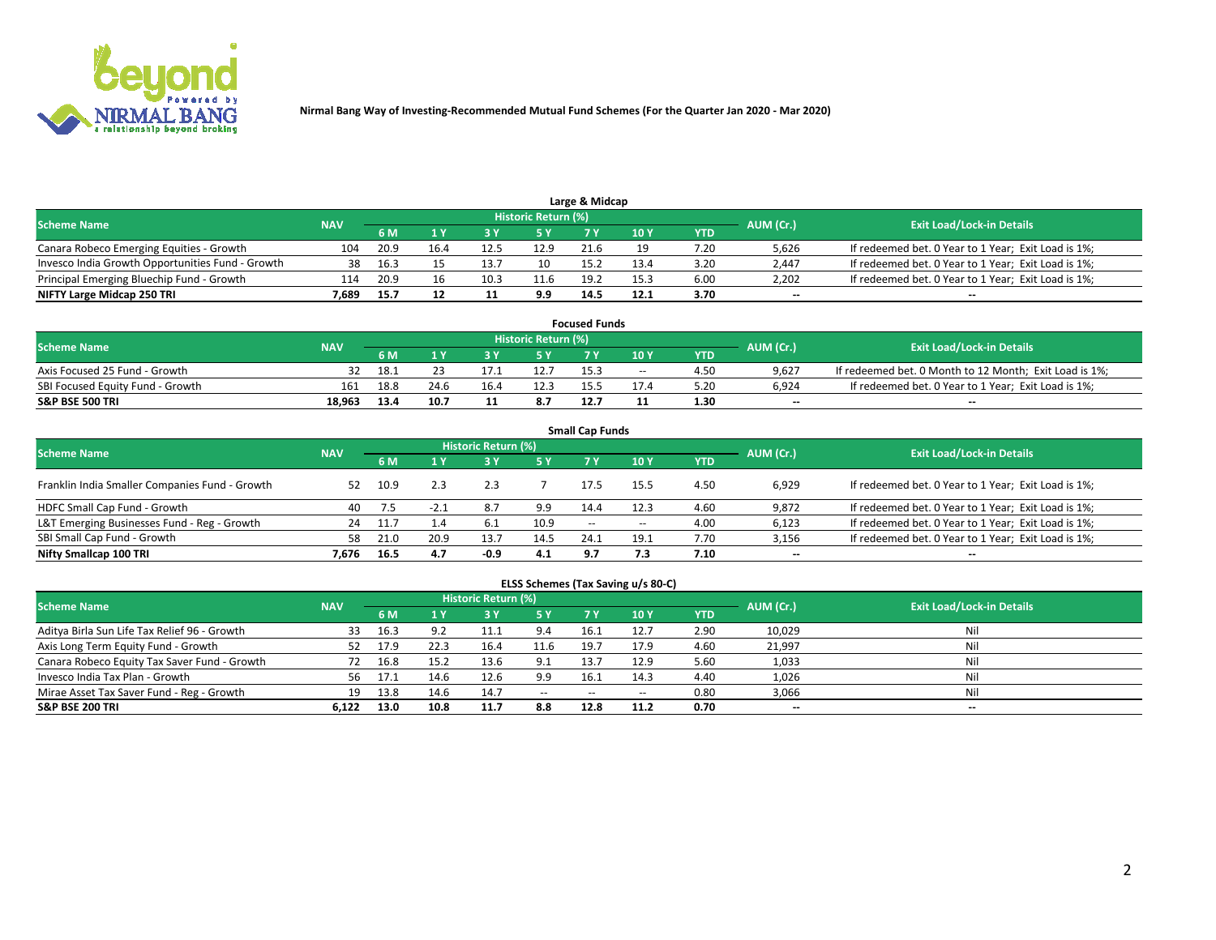

|                                                  | Large & Midcap<br>Historic Return (%) |      |      |      |      |      |      |            |                          |                                                     |  |  |  |  |  |
|--------------------------------------------------|---------------------------------------|------|------|------|------|------|------|------------|--------------------------|-----------------------------------------------------|--|--|--|--|--|
| <b>Scheme Name</b>                               | <b>NAV</b>                            | 6 M  |      |      | 5 Y  |      | 10Y  | <b>YTD</b> | AUM (Cr.)                | <b>Exit Load/Lock-in Details</b>                    |  |  |  |  |  |
| Canara Robeco Emerging Equities - Growth         | 104                                   | 20.9 | 16.4 | 12.5 | 12.9 | 21.6 |      | 7.20       | 5,626                    | If redeemed bet. 0 Year to 1 Year; Exit Load is 1%; |  |  |  |  |  |
| Invesco India Growth Opportunities Fund - Growth | 38                                    | 16.3 |      | 13.  | 10   | 15.2 | 13.4 | 3.20       | 2,447                    | If redeemed bet. 0 Year to 1 Year; Exit Load is 1%; |  |  |  |  |  |
| Principal Emerging Bluechip Fund - Growth        | 114                                   | 20.9 | 16   | 10.3 | 11.6 | 19.2 | 15.3 | 6.00       | 2,202                    | If redeemed bet. 0 Year to 1 Year; Exit Load is 1%; |  |  |  |  |  |
| NIFTY Large Midcap 250 TRI                       | 7.689                                 | 15.7 |      |      | 9.9  | 14.5 | 12.1 | 3.70       | $\overline{\phantom{a}}$ | $\overline{\phantom{a}}$                            |  |  |  |  |  |

| <b>Focused Funds</b>             |            |      |      |  |                     |      |       |            |           |                                                        |  |  |  |
|----------------------------------|------------|------|------|--|---------------------|------|-------|------------|-----------|--------------------------------------------------------|--|--|--|
| <b>Scheme Name</b>               | <b>NAV</b> |      |      |  | Historic Return (%) |      |       |            | AUM (Cr.) | <b>Exit Load/Lock-in Details</b>                       |  |  |  |
|                                  |            | 6 M  |      |  |                     |      | 10 Y  | <b>YTD</b> |           |                                                        |  |  |  |
| Axis Focused 25 Fund - Growth    |            | 18.1 |      |  | 12.7                | 15.3 | $- -$ | 4.50       | 9.627     | If redeemed bet. 0 Month to 12 Month; Exit Load is 1%; |  |  |  |
| SBI Focused Equity Fund - Growth | 161        | 18.8 | 24.6 |  | 12.3                | 155  | 17.4  | 5.20       | 6.924     | If redeemed bet. 0 Year to 1 Year; Exit Load is 1%;    |  |  |  |
| <b>S&amp;P BSE 500 TRI</b>       | 18.963     | 13.4 | 10.7 |  | 8.7                 |      |       | 1.30       | $\sim$    | $- -$                                                  |  |  |  |

| <b>Small Cap Funds</b>                         |            |      |        |                            |           |                          |       |            |                          |                                                     |  |  |  |  |
|------------------------------------------------|------------|------|--------|----------------------------|-----------|--------------------------|-------|------------|--------------------------|-----------------------------------------------------|--|--|--|--|
| <b>Scheme Name</b>                             | <b>NAV</b> |      |        | <b>Historic Return (%)</b> |           |                          |       |            | AUM (Cr.)                | <b>Exit Load/Lock-in Details</b>                    |  |  |  |  |
|                                                |            | 6 M  |        |                            | <b>5Y</b> | 7 Y                      | 10Y   | <b>YTD</b> |                          |                                                     |  |  |  |  |
| Franklin India Smaller Companies Fund - Growth | 52         | 10.9 |        |                            |           | 17.5                     | 15.5  | 4.50       | 6,929                    | If redeemed bet. 0 Year to 1 Year; Exit Load is 1%; |  |  |  |  |
| HDFC Small Cap Fund - Growth                   | 40         |      | $-2.1$ | 8.7                        | 9.9       | 14.4                     | 12.3  | 4.60       | 9,872                    | If redeemed bet. 0 Year to 1 Year; Exit Load is 1%; |  |  |  |  |
| L&T Emerging Businesses Fund - Reg - Growth    | 24         | 11.  | 1.4    | 6.1                        | 10.9      | $\overline{\phantom{a}}$ | $- -$ | 4.00       | 6,123                    | If redeemed bet. 0 Year to 1 Year; Exit Load is 1%; |  |  |  |  |
| SBI Small Cap Fund - Growth                    | 58         | 21.0 | 20.9   | 13.7                       | 14.5      | 24.1                     | 19.1  | 7.70       | 3,156                    | If redeemed bet. 0 Year to 1 Year; Exit Load is 1%; |  |  |  |  |
| Nifty Smallcap 100 TRI                         | 7.676      | 16.5 | 4.7    | $-0.9$                     | 4.1       | 9.7                      | 7.3   | 7.10       | $\overline{\phantom{a}}$ | $\overline{\phantom{a}}$                            |  |  |  |  |

## **ELSS Schemes (Tax Saving u/s 80-C)**

| <b>Scheme Name</b>                           | <b>NAV</b> |      |      | <b>Historic Return (%)</b> |           |      |      |      | AUM (Cr.) | <b>Exit Load/Lock-in Details</b> |
|----------------------------------------------|------------|------|------|----------------------------|-----------|------|------|------|-----------|----------------------------------|
|                                              |            | 6 M  | 1 Y  | 3 Y                        | <b>5Y</b> | 7 Y  | 10Y  | YTD  |           |                                  |
| Aditya Birla Sun Life Tax Relief 96 - Growth | 33         | 16.3 |      |                            | 9.4       | 16.1 | 12.7 | 2.90 | 10,029    | Nil                              |
| Axis Long Term Equity Fund - Growth          | 52         | 17.9 |      | 16.4                       | 11.6      | 19.7 | 17.9 | 4.60 | 21,997    | Nil                              |
| Canara Robeco Equity Tax Saver Fund - Growth |            | 16.8 | 15.2 | 13.6                       | 9.1       | 13.7 | 12.9 | 5.60 | 1,033     | Nil                              |
| Invesco India Tax Plan - Growth              | 56         | 17.1 | 14.6 | 12.6                       | 9.9       | 16.1 | 14.3 | 4.40 | 1,026     | Nil                              |
| Mirae Asset Tax Saver Fund - Reg - Growth    | 19         | 13.8 | 14.6 | 14.7                       | $- -$     | --   | --   | 0.80 | 3,066     | Nil                              |
| S&P BSE 200 TRI                              | 6.122      | 13.0 | 10.8 | 11.7                       | 8.8       | 12.8 | 11.2 | 0.70 | $\sim$    | $- -$                            |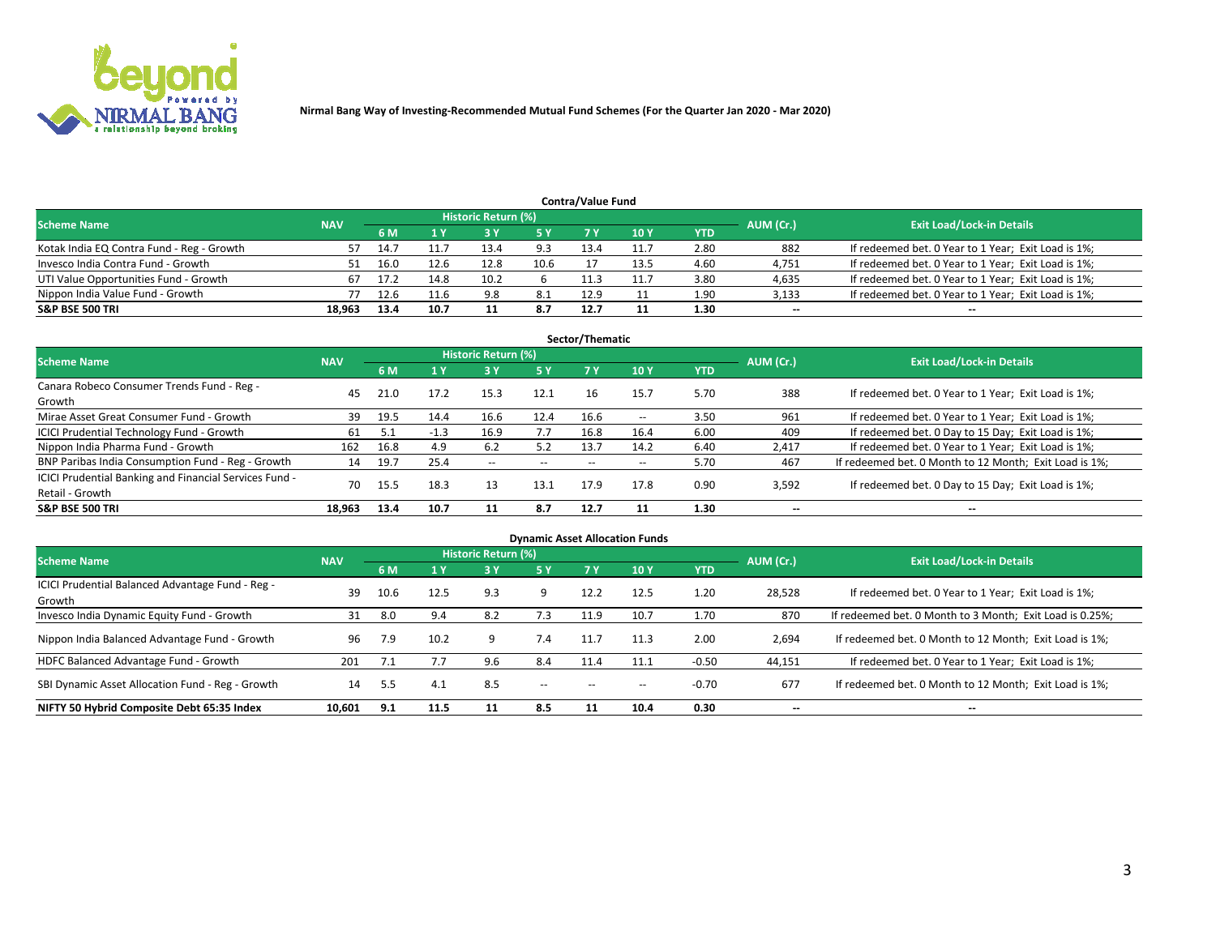

|                                           |            |      |      | Historic Return (%) |      | <b>Contra/Value Fund</b> |      |      |           |                                                     |
|-------------------------------------------|------------|------|------|---------------------|------|--------------------------|------|------|-----------|-----------------------------------------------------|
| <b>Scheme Name</b>                        | <b>NAV</b> | 6 M  |      |                     | 5 Y  | 7 Y                      | 10Y  | YTD  | AUM (Cr.) | <b>Exit Load/Lock-in Details</b>                    |
| Kotak India EQ Contra Fund - Reg - Growth |            | 14.7 |      | 13.4                | 9.3  | 13.4                     | 11.7 | 2.80 | 882       | If redeemed bet. 0 Year to 1 Year; Exit Load is 1%; |
| Invesco India Contra Fund - Growth        |            | 16.0 | 12.6 | 12.8                | 10.6 |                          | 13.5 | 4.60 | 4,751     | If redeemed bet. 0 Year to 1 Year; Exit Load is 1%; |
| UTI Value Opportunities Fund - Growth     |            | 17.2 | 14.8 | 10.2                |      |                          | 11.7 | 3.80 | 4,635     | If redeemed bet. 0 Year to 1 Year; Exit Load is 1%; |
| Nippon India Value Fund - Growth          |            |      | 11.6 | 9.8                 | 8.1  | 12.9                     |      | 1.90 | 3,133     | If redeemed bet. 0 Year to 1 Year; Exit Load is 1%; |
| <b>S&amp;P BSE 500 TRI</b>                | 18.963     | 13.4 | 10.7 |                     | 8.7  | 12.7                     |      | 1.30 | $\sim$    | $- -$                                               |

|                                                                           |            |      |        |                     |           | Sector/Thematic |       |            |                          |                                                        |
|---------------------------------------------------------------------------|------------|------|--------|---------------------|-----------|-----------------|-------|------------|--------------------------|--------------------------------------------------------|
| <b>Scheme Name</b>                                                        | <b>NAV</b> |      |        | Historic Return (%) |           |                 |       |            | AUM (Cr.)                | <b>Exit Load/Lock-in Details</b>                       |
|                                                                           |            | 6 M  | 1 Y    | 73 Y                | <b>5Y</b> | 7 Y             | 10Y   | <b>YTD</b> |                          |                                                        |
| Canara Robeco Consumer Trends Fund - Reg -<br>Growth                      | 45         | 21.0 | 17.2   | 15.3                | 12.1      | 16              | 15.7  | 5.70       | 388                      | If redeemed bet. 0 Year to 1 Year; Exit Load is 1%;    |
| Mirae Asset Great Consumer Fund - Growth                                  | 39         | 19.5 | 14.4   | 16.6                | 12.4      | 16.6            | $- -$ | 3.50       | 961                      | If redeemed bet. 0 Year to 1 Year; Exit Load is 1%;    |
| ICICI Prudential Technology Fund - Growth                                 | 61         |      | $-1.3$ | 16.9                | 7.7       | 16.8            | 16.4  | 6.00       | 409                      | If redeemed bet. 0 Day to 15 Day; Exit Load is 1%;     |
| Nippon India Pharma Fund - Growth                                         | 162        | 16.8 | 4.9    | 6.2                 | 5.2       | 13.7            | 14.2  | 6.40       | 2,417                    | If redeemed bet. 0 Year to 1 Year; Exit Load is 1%;    |
| BNP Paribas India Consumption Fund - Reg - Growth                         | 14         | 19.7 | 25.4   | $- -$               | $- -$     | $- -$           | $- -$ | 5.70       | 467                      | If redeemed bet. 0 Month to 12 Month; Exit Load is 1%; |
| ICICI Prudential Banking and Financial Services Fund -<br>Retail - Growth | 70         | 15.5 | 18.3   | 13                  | 13.1      | 17.9            | 17.8  | 0.90       | 3,592                    | If redeemed bet. 0 Day to 15 Day; Exit Load is 1%;     |
| <b>S&amp;P BSE 500 TRI</b>                                                | 18.963     | 13.4 | 10.7   |                     | 8.7       | 12.7            |       | 1.30       | $\overline{\phantom{a}}$ | $\overline{\phantom{a}}$                               |

| <b>Dynamic Asset Allocation Funds</b>                      |            |      |      |                     |       |           |      |            |                          |                                                          |  |  |  |
|------------------------------------------------------------|------------|------|------|---------------------|-------|-----------|------|------------|--------------------------|----------------------------------------------------------|--|--|--|
| <b>Scheme Name</b>                                         | <b>NAV</b> |      |      | Historic Return (%) |       |           |      |            | AUM (Cr.)                | <b>Exit Load/Lock-in Details</b>                         |  |  |  |
|                                                            |            | 6 M  |      | 3 Y                 | 5 Y   | <b>7Y</b> | 10Y  | <b>YTD</b> |                          |                                                          |  |  |  |
| ICICI Prudential Balanced Advantage Fund - Reg -<br>Growth | 39         | 10.6 | 12.5 | 9.3                 | 9     | 12.2      | 12.5 | 1.20       | 28,528                   | If redeemed bet. 0 Year to 1 Year; Exit Load is 1%;      |  |  |  |
| Invesco India Dynamic Equity Fund - Growth                 | 31         | 8.0  | 9.4  | 8.2                 | 7.3   | 11.9      | 10.7 | 1.70       | 870                      | If redeemed bet. 0 Month to 3 Month; Exit Load is 0.25%; |  |  |  |
| Nippon India Balanced Advantage Fund - Growth              | 96         | 7.9  | 10.2 | -9                  | 7.4   | 11.7      | 11.3 | 2.00       | 2,694                    | If redeemed bet. 0 Month to 12 Month; Exit Load is 1%;   |  |  |  |
| HDFC Balanced Advantage Fund - Growth                      | 201        | 7.1  | 7.7  | 9.6                 | 8.4   | 11.4      | 11.1 | $-0.50$    | 44,151                   | If redeemed bet. 0 Year to 1 Year; Exit Load is 1%;      |  |  |  |
| SBI Dynamic Asset Allocation Fund - Reg - Growth           | 14         | 5.5  | 4.1  | 8.5                 | $- -$ | $- -$     | --   | $-0.70$    | 677                      | If redeemed bet. 0 Month to 12 Month; Exit Load is 1%;   |  |  |  |
| NIFTY 50 Hybrid Composite Debt 65:35 Index                 | 10,601     | 9.1  | 11.5 | 11                  | 8.5   | 11        | 10.4 | 0.30       | $\overline{\phantom{a}}$ | $- -$                                                    |  |  |  |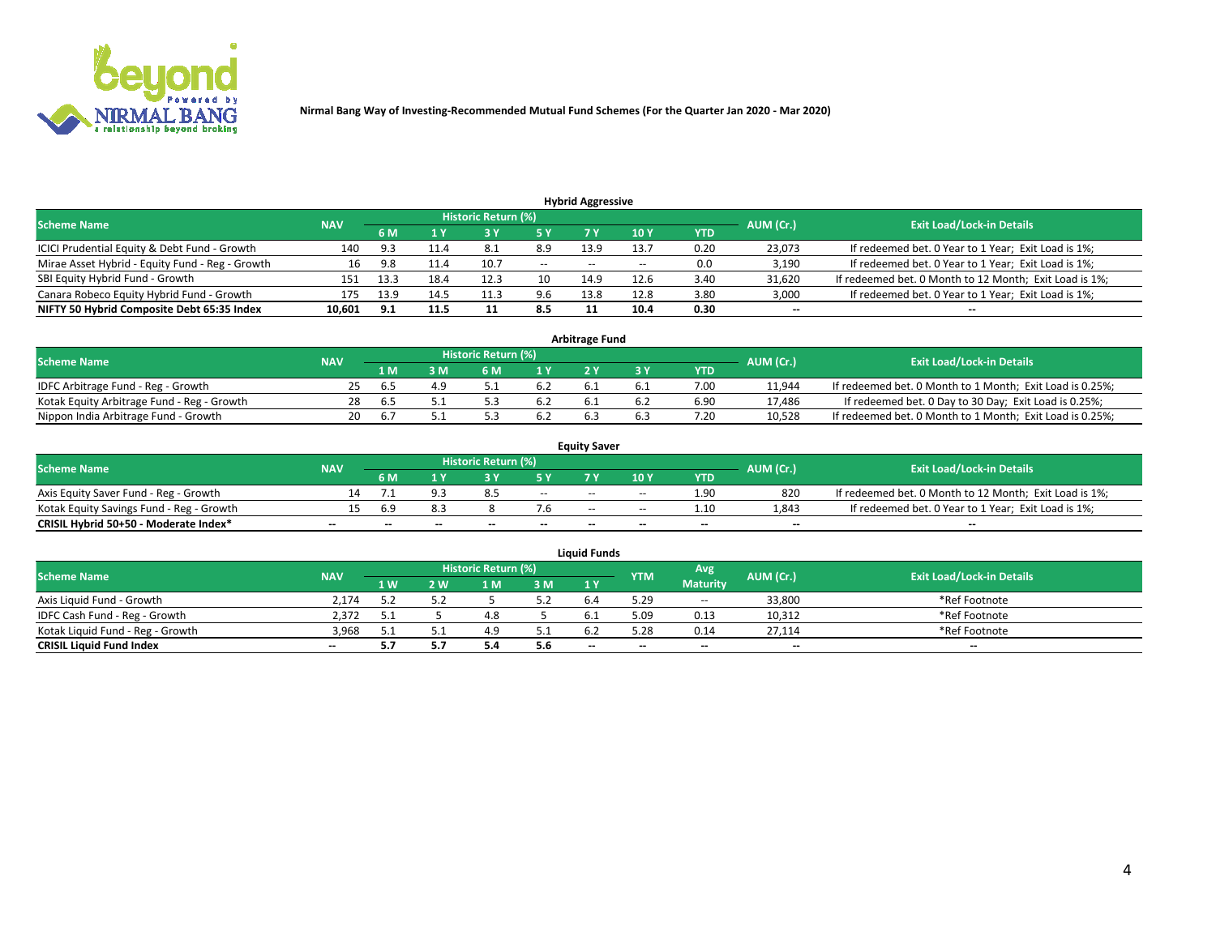

| <b>Hybrid Aggressive</b>                                                                                        |        |      |      |      |        |                          |       |      |                          |                                                        |  |  |  |  |
|-----------------------------------------------------------------------------------------------------------------|--------|------|------|------|--------|--------------------------|-------|------|--------------------------|--------------------------------------------------------|--|--|--|--|
| <b>Historic Return (%)</b><br><b>Exit Load/Lock-in Details</b><br>AUM (Cr.)<br><b>Scheme Name</b><br><b>NAV</b> |        |      |      |      |        |                          |       |      |                          |                                                        |  |  |  |  |
|                                                                                                                 |        | 6 M  |      |      |        |                          | 10Y   | YTD  |                          |                                                        |  |  |  |  |
| ICICI Prudential Equity & Debt Fund - Growth                                                                    | 140    | 9.3  | 11.4 | 8.1  | 8.9    | 13.9                     | 13.7  | 0.20 | 23,073                   | If redeemed bet. 0 Year to 1 Year; Exit Load is 1%;    |  |  |  |  |
| Mirae Asset Hybrid - Equity Fund - Reg - Growth                                                                 | 16     | 9.8  | 11.4 | 10.7 | $\sim$ | $\overline{\phantom{a}}$ | $- -$ | 0.0  | 3,190                    | If redeemed bet. 0 Year to 1 Year; Exit Load is 1%;    |  |  |  |  |
| SBI Equity Hybrid Fund - Growth                                                                                 | 151    | 13.3 | 18.4 | 12.3 | 10     | 14.9                     | 12.6  | 3.40 | 31,620                   | If redeemed bet. 0 Month to 12 Month; Exit Load is 1%; |  |  |  |  |
| Canara Robeco Equity Hybrid Fund - Growth                                                                       | 175    | 13.9 | 14.5 | 11.3 | 9.6    | 13.8                     | 12.8  | 3.80 | 3,000                    | If redeemed bet. 0 Year to 1 Year; Exit Load is 1%;    |  |  |  |  |
| NIFTY 50 Hybrid Composite Debt 65:35 Index                                                                      | 10,601 | 9.1  | 11.5 |      | 8.5    |                          | 10.4  | 0.30 | $\overline{\phantom{a}}$ | $- -$                                                  |  |  |  |  |

| <b>Arbitrage Fund</b>                      |            |                                  |     |     |     |     |  |      |           |                                                          |  |  |  |
|--------------------------------------------|------------|----------------------------------|-----|-----|-----|-----|--|------|-----------|----------------------------------------------------------|--|--|--|
| <b>Scheme Name</b>                         | <b>NAV</b> | <b>Exit Load/Lock-in Details</b> |     |     |     |     |  |      |           |                                                          |  |  |  |
|                                            |            | 1 M                              | ያ M | 6 M |     |     |  | YTD  | AUM (Cr.) |                                                          |  |  |  |
| IDFC Arbitrage Fund - Reg - Growth         | 25.        | h.5                              |     |     | 6.2 |     |  | 7.00 | 11,944    | If redeemed bet. 0 Month to 1 Month; Exit Load is 0.25%; |  |  |  |
| Kotak Equity Arbitrage Fund - Reg - Growth | 28         | h.5                              |     |     | 6.2 |     |  | 6.90 | 17,486    | If redeemed bet. 0 Day to 30 Day; Exit Load is 0.25%;    |  |  |  |
| Nippon India Arbitrage Fund - Growth       | 20         | . ხ.                             |     |     | 6.2 | b.: |  | 7.20 | 10.528    | If redeemed bet. 0 Month to 1 Month; Exit Load is 0.25%; |  |  |  |

|                                          | <b>Equity Saver</b> |     |           |                                  |                          |        |               |            |                          |                                                        |  |  |  |  |  |
|------------------------------------------|---------------------|-----|-----------|----------------------------------|--------------------------|--------|---------------|------------|--------------------------|--------------------------------------------------------|--|--|--|--|--|
| Scheme Name                              | <b>NAV</b>          |     | AUM (Cr.) | <b>Exit Load/Lock-in Details</b> |                          |        |               |            |                          |                                                        |  |  |  |  |  |
|                                          |                     | 6 M |           |                                  | 5 Y                      |        | $\sqrt{10}$ Y | <b>YTD</b> |                          |                                                        |  |  |  |  |  |
| Axis Equity Saver Fund - Reg - Growth    |                     |     |           |                                  | $\sim$                   | $- -$  | $- -$         | 1.90       | 820                      | If redeemed bet. 0 Month to 12 Month; Exit Load is 1%; |  |  |  |  |  |
| Kotak Equity Savings Fund - Reg - Growth |                     | 6.9 |           |                                  |                          | $- -$  | $- -$         | 1.10       | 1,843                    | If redeemed bet. 0 Year to 1 Year; Exit Load is 1%;    |  |  |  |  |  |
| CRISIL Hybrid 50+50 - Moderate Index*    |                     | $-$ | $-$       | $\overline{\phantom{a}}$         | $\overline{\phantom{a}}$ | $\sim$ | --            | $- -$      | $\overline{\phantom{a}}$ | $- -$                                                  |  |  |  |  |  |

| <b>Liquid Funds</b>              |            |                   |     |                            |       |        |            |                 |           |                                  |  |  |  |
|----------------------------------|------------|-------------------|-----|----------------------------|-------|--------|------------|-----------------|-----------|----------------------------------|--|--|--|
| <b>Scheme Name</b>               | <b>NAV</b> |                   |     | <b>Historic Return (%)</b> |       |        | <b>YTM</b> | Avg             | AUM (Cr.) | <b>Exit Load/Lock-in Details</b> |  |  |  |
|                                  |            | $4 \, \mathrm{W}$ | 2 W | ۱M                         | 3 M   | 1Y     |            | <b>Maturity</b> |           |                                  |  |  |  |
| Axis Liquid Fund - Growth        | 2.174      |                   |     |                            | 5.2   | b.4    | 5.29       | $\sim$          | 33,800    | *Ref Footnote                    |  |  |  |
| IDFC Cash Fund - Reg - Growth    | 2.372      |                   |     |                            |       |        | 5.09       | 0.13            | 10,312    | *Ref Footnote                    |  |  |  |
| Kotak Liquid Fund - Reg - Growth | 3,968      |                   |     |                            | ـ . ـ |        | 5.28       | 0.14            | 27,114    | *Ref Footnote                    |  |  |  |
| <b>CRISIL Liquid Fund Index</b>  | $\sim$     | 5.7               |     |                            | 5.6   | $\sim$ | --         | $-$             | $\sim$    | $\overline{\phantom{a}}$         |  |  |  |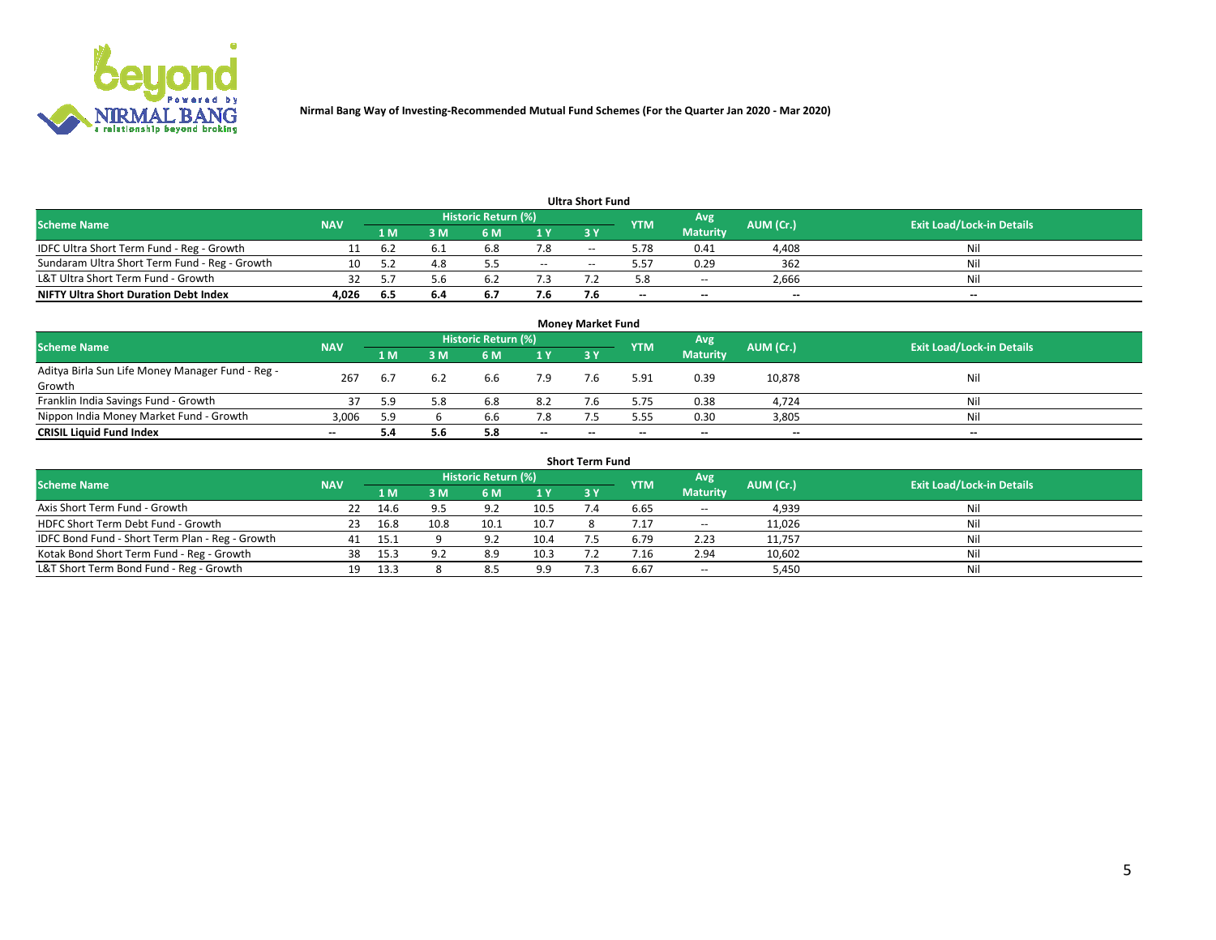

|                                               |            |     |     |                     |       | <b>Ultra Short Fund</b> |            |                 |           |                                  |
|-----------------------------------------------|------------|-----|-----|---------------------|-------|-------------------------|------------|-----------------|-----------|----------------------------------|
| <b>Scheme Name</b>                            | <b>NAV</b> |     |     | Historic Return (%) |       |                         | <b>YTM</b> | Avg             | AUM (Cr.) | <b>Exit Load/Lock-in Details</b> |
|                                               |            | 1 M | 3 M | 6 M                 | 1 Y   | 3 Y                     |            | <b>Maturity</b> |           |                                  |
| IDFC Ultra Short Term Fund - Reg - Growth     |            | 6.2 |     | 6.8                 | 7.8   | $- -$                   | 5.78       | 0.41            | 4,408     | Nil                              |
| Sundaram Ultra Short Term Fund - Reg - Growth |            |     | 4.8 |                     | $- -$ |                         | 5.57       | 0.29            | 362       | Nil                              |
| L&T Ultra Short Term Fund - Growth            |            |     | 5.b |                     |       |                         | 5.8        | $- -$           | 2,666     | Nil                              |
| <b>NIFTY Ultra Short Duration Debt Index</b>  | 4.026      | 6.5 | 6.4 | <b>D.</b>           | 7.6   |                         | $\sim$     | $\sim$          | $\sim$    | $- -$                            |

| <b>Monev Market Fund</b>                         |            |     |     |                     |        |        |            |                 |           |                                  |  |  |  |
|--------------------------------------------------|------------|-----|-----|---------------------|--------|--------|------------|-----------------|-----------|----------------------------------|--|--|--|
| <b>Scheme Name</b>                               | <b>NAV</b> |     |     | Historic Return (%) |        |        | <b>YTM</b> | Avg             | AUM (Cr.) | <b>Exit Load/Lock-in Details</b> |  |  |  |
|                                                  |            | 1 M | 3 M | 6 M                 | 1Y     | 3Y     |            | <b>Maturity</b> |           |                                  |  |  |  |
| Aditya Birla Sun Life Money Manager Fund - Reg - | 267        | b.7 | 6.2 | 6.6                 | 7.9    |        | 5.91       | 0.39            | 10,878    | Nil                              |  |  |  |
| Growth                                           |            |     |     |                     |        |        |            |                 |           |                                  |  |  |  |
| Franklin India Savings Fund - Growth             |            | 5.9 | 5.8 | 6.8                 | 8.2    |        | 5.75       | 0.38            | 4,724     | Nil                              |  |  |  |
| Nippon India Money Market Fund - Growth          | 3,006      | 5.9 |     | b.b                 | 7.8    |        | 5.55       | 0.30            | 3,805     | Nil                              |  |  |  |
| <b>CRISIL Liquid Fund Index</b>                  | $\sim$     | 5.4 | 5.6 |                     | $\sim$ | $\sim$ | --         | $- -$           | $\sim$    | $- -$                            |  |  |  |

| <b>Short Term Fund</b>                          |            |      |      |                            |      |           |            |                 |           |                                  |  |  |  |  |
|-------------------------------------------------|------------|------|------|----------------------------|------|-----------|------------|-----------------|-----------|----------------------------------|--|--|--|--|
| <b>Scheme Name</b>                              | <b>NAV</b> |      |      | <b>Historic Return (%)</b> |      |           | <b>YTM</b> | Avg             | AUM (Cr.) | <b>Exit Load/Lock-in Details</b> |  |  |  |  |
|                                                 |            | 1 M  | 3 M  | 6 M                        | 1Y   | <b>3Y</b> |            | <b>Maturity</b> |           |                                  |  |  |  |  |
| Axis Short Term Fund - Growth                   |            | 14.6 | 9.5  | Q <sub>0</sub>             | 10.5 |           | 6.65       | $\sim$          | 4,939     | Nil                              |  |  |  |  |
| HDFC Short Term Debt Fund - Growth              | 23         | 16.8 | 10.8 | 10.1                       | 10.7 |           | 7.17       | $\sim$          | 11,026    | Nil                              |  |  |  |  |
| IDFC Bond Fund - Short Term Plan - Reg - Growth | 41         | 15.1 |      | Q <sub>0</sub>             | 10.4 |           | 6.79       | 2.23            | 11,757    | Nil                              |  |  |  |  |
| Kotak Bond Short Term Fund - Reg - Growth       | 38         | 15.3 | 9.2  | 8.9                        | 10.3 |           |            | 2.94            | 10,602    | Nil                              |  |  |  |  |
| L&T Short Term Bond Fund - Reg - Growth         | 19.        | 13.3 |      | 8.5                        | 9.9  |           | 6.67       | $- -$           | 5,450     | Nil                              |  |  |  |  |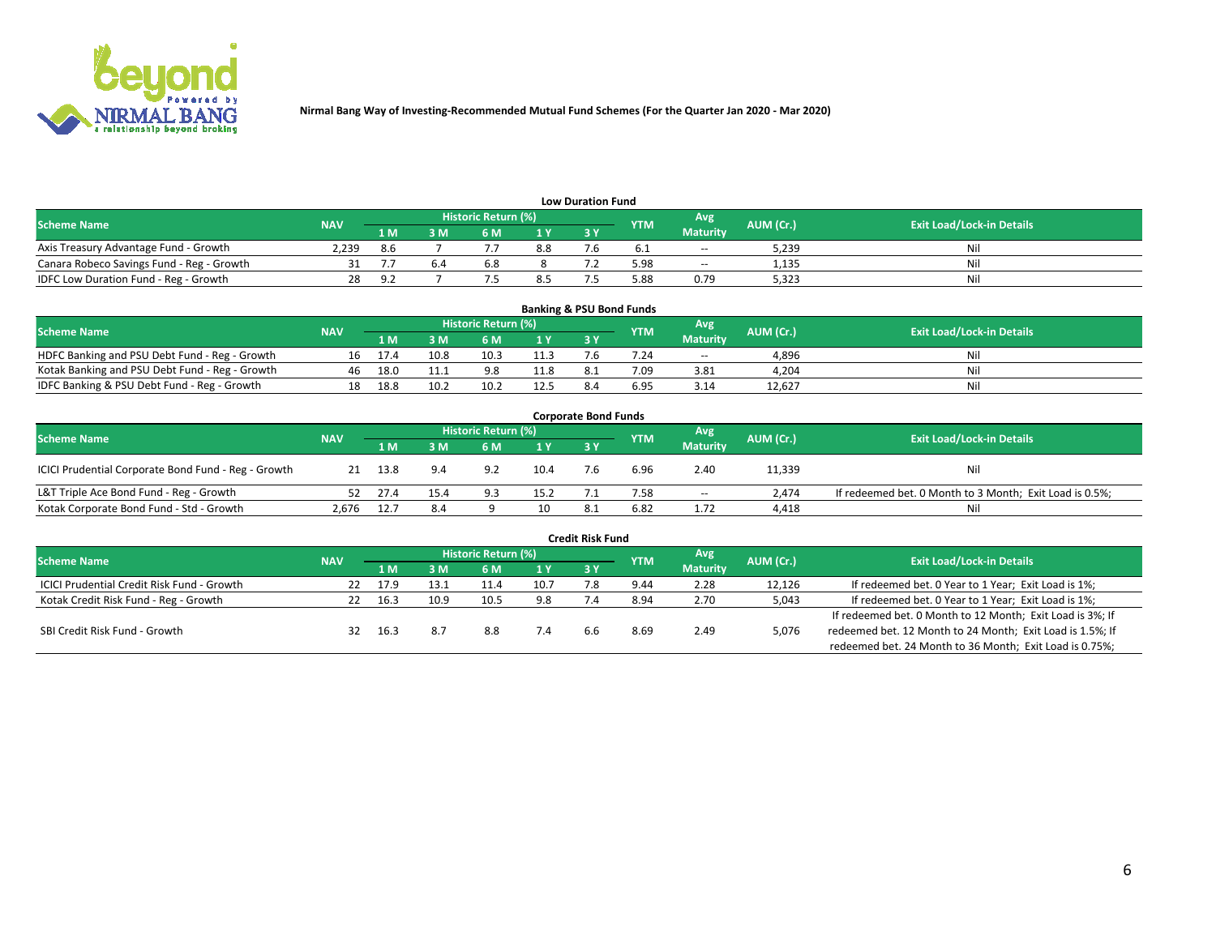

| <b>Low Duration Fund</b>                  |            |         |     |                     |     |     |            |                 |           |                                  |  |  |  |
|-------------------------------------------|------------|---------|-----|---------------------|-----|-----|------------|-----------------|-----------|----------------------------------|--|--|--|
| <b>Scheme Name</b>                        | <b>NAV</b> |         |     | Historic Return (%) |     |     | <b>YTM</b> | Avg             | AUM (Cr.) | <b>Exit Load/Lock-in Details</b> |  |  |  |
|                                           |            | 1 M     | ያ M | 6 M                 | 1 V | 3 Y |            | <b>Maturity</b> |           |                                  |  |  |  |
| Axis Treasury Advantage Fund - Growth     | 2.239      | 8.6     |     |                     | 8.8 |     |            | $- -$           | 5,239     | Nil                              |  |  |  |
| Canara Robeco Savings Fund - Reg - Growth |            |         | b.4 | <b>b.8</b>          |     |     | 5.98       | $- -$           | 1,135     | Nil                              |  |  |  |
| IDFC Low Duration Fund - Reg - Growth     | 28         | $\circ$ |     |                     | 8.5 |     | .88 د      | 0.79            | 5,323     | Nil                              |  |  |  |

| <b>Banking &amp; PSU Bond Funds</b>            |            |      |      |                            |      |     |            |                 |           |                                  |  |  |  |
|------------------------------------------------|------------|------|------|----------------------------|------|-----|------------|-----------------|-----------|----------------------------------|--|--|--|
| <b>Scheme Name</b>                             | <b>NAV</b> |      |      | <b>Historic Return (%)</b> |      |     | <b>YTM</b> | Avg             | AUM (Cr.) | <b>Exit Load/Lock-in Details</b> |  |  |  |
|                                                |            | 1 M  | sм   | 6 M                        | 1Y   | 3Y  |            | <b>Maturity</b> |           |                                  |  |  |  |
| HDFC Banking and PSU Debt Fund - Reg - Growth  |            |      | 10.8 | 10.3                       | 11.3 |     | 7.24       | $\sim$ $\sim$   | 4,896     | Ni                               |  |  |  |
| Kotak Banking and PSU Debt Fund - Reg - Growth | 46         | 18.0 |      | 9.8                        | 11.8 | 8.1 | 7.09       | 3.81            | 4,204     | Ni                               |  |  |  |
| IDFC Banking & PSU Debt Fund - Reg - Growth    |            | 18.8 | 10.2 |                            | 12.5 |     | 6.95       | 3.14            | 12.627    | Ni                               |  |  |  |

| <b>Corporate Bond Funds</b>                         |            |      |                         |                     |      |    |            |                 |           |                                                         |  |  |  |
|-----------------------------------------------------|------------|------|-------------------------|---------------------|------|----|------------|-----------------|-----------|---------------------------------------------------------|--|--|--|
| <b>Scheme Name</b>                                  | <b>NAV</b> |      |                         | Historic Return (%) |      |    | <b>YTM</b> | Avg             | AUM (Cr.) | <b>Exit Load/Lock-in Details</b>                        |  |  |  |
|                                                     |            | 1 M  | $\overline{\mathsf{M}}$ | 6 M                 | 1Y   | 3V |            | <b>Maturity</b> |           |                                                         |  |  |  |
| ICICI Prudential Corporate Bond Fund - Reg - Growth | 21         | 13.8 | 9.4                     | 9.2                 | 10.4 |    | 6.96       | 2.40            | 11,339    | Nil                                                     |  |  |  |
| L&T Triple Ace Bond Fund - Reg - Growth             |            | 27.4 | 15.4                    | Q <sub>2</sub>      | 15.2 |    | 7.58       | $\sim$          | 2.474     | If redeemed bet. 0 Month to 3 Month; Exit Load is 0.5%; |  |  |  |
| Kotak Corporate Bond Fund - Std - Growth            | 2.676      | 12.7 | 8.4                     |                     | 10   |    | 6.82       | 1.72            | 4,418     | Nil                                                     |  |  |  |

| <b>Credit Risk Fund</b>                           |                                              |      |                 |                            |      |     |            |      |           |                                                           |  |  |  |
|---------------------------------------------------|----------------------------------------------|------|-----------------|----------------------------|------|-----|------------|------|-----------|-----------------------------------------------------------|--|--|--|
| <b>Scheme Name</b>                                |                                              |      |                 | <b>Historic Return (%)</b> |      |     | <b>YTM</b> | 'Avg | AUM (Cr.) | <b>Exit Load/Lock-in Details</b>                          |  |  |  |
|                                                   | <b>NAV</b><br>3Y<br>3 M<br>6 M<br>1 Y<br>1 M |      | <b>Maturity</b> |                            |      |     |            |      |           |                                                           |  |  |  |
| <b>ICICI Prudential Credit Risk Fund - Growth</b> | 22                                           | 17.9 | 13.1            | 11.4                       | 10.7 |     | 9.44       | 2.28 | 12,126    | If redeemed bet. 0 Year to 1 Year; Exit Load is 1%;       |  |  |  |
| Kotak Credit Risk Fund - Reg - Growth             |                                              | 16.3 | 10.9            | 10.5                       | 9.8  |     | 8.94       | 2.70 | 5,043     | If redeemed bet. 0 Year to 1 Year; Exit Load is 1%;       |  |  |  |
|                                                   |                                              |      |                 |                            |      |     |            |      |           | If redeemed bet. 0 Month to 12 Month; Exit Load is 3%; If |  |  |  |
| SBI Credit Risk Fund - Growth                     | 32                                           | 16.3 | 8.7             | 8.8                        |      | h.h | 8.69       | 2.49 | 5,076     | redeemed bet. 12 Month to 24 Month; Exit Load is 1.5%; If |  |  |  |
|                                                   |                                              |      |                 |                            |      |     |            |      |           | redeemed bet. 24 Month to 36 Month; Exit Load is 0.75%;   |  |  |  |